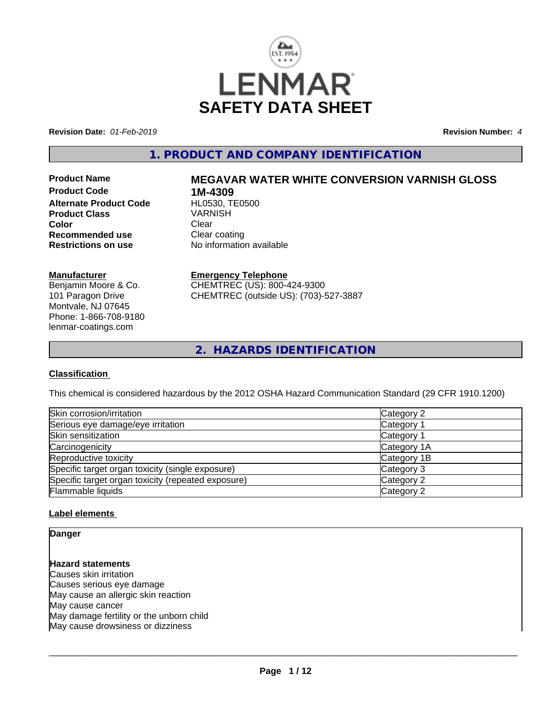

**Revision Date:** *01-Feb-2019* **Revision Number:** *4*

# **1. PRODUCT AND COMPANY IDENTIFICATION**

**Product Code 1M-4309<br>
Alternate Product Code HL0530, TE0500 Alternate Product Code Product Class** VARNISH **Color** Clear Clear **Recommended use Clear coating<br>
<b>Restrictions on use** No information

# **Product Name MEGAVAR WATER WHITE CONVERSION VARNISH GLOSS**

**No information available** 

#### **Manufacturer**

Benjamin Moore & Co. 101 Paragon Drive Montvale, NJ 07645 Phone: 1-866-708-9180 lenmar-coatings.com

# **Emergency Telephone**

CHEMTREC (US): 800-424-9300 CHEMTREC (outside US): (703)-527-3887

**2. HAZARDS IDENTIFICATION**

#### **Classification**

This chemical is considered hazardous by the 2012 OSHA Hazard Communication Standard (29 CFR 1910.1200)

| Skin corrosion/irritation                          | Category 2  |
|----------------------------------------------------|-------------|
| Serious eye damage/eye irritation                  | Category 1  |
| Skin sensitization                                 | Category 1  |
| Carcinogenicity                                    | Category 1A |
| Reproductive toxicity                              | Category 1B |
| Specific target organ toxicity (single exposure)   | Category 3  |
| Specific target organ toxicity (repeated exposure) | Category 2  |
| Flammable liquids                                  | Category 2  |

#### **Label elements**

**Danger**

## **Hazard statements**

Causes skin irritation Causes serious eye damage May cause an allergic skin reaction May cause cancer May damage fertility or the unborn child May cause drowsiness or dizziness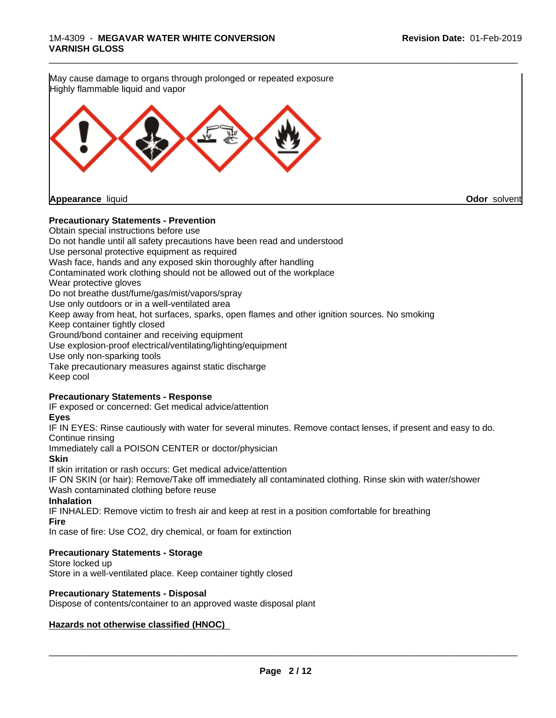

#### **Precautionary Statements - Prevention**

Obtain special instructions before use Do not handle until all safety precautions have been read and understood Use personal protective equipment as required Wash face, hands and any exposed skin thoroughly after handling Contaminated work clothing should not be allowed out of the workplace Wear protective gloves Do not breathe dust/fume/gas/mist/vapors/spray Use only outdoors or in a well-ventilated area Keep away from heat, hot surfaces, sparks, open flames and other ignition sources. No smoking Keep container tightly closed Ground/bond container and receiving equipment Use explosion-proof electrical/ventilating/lighting/equipment Use only non-sparking tools Take precautionary measures against static discharge Keep cool

#### **Precautionary Statements - Response**

IF exposed or concerned: Get medical advice/attention

#### **Eyes**

IF IN EYES: Rinse cautiously with water forseveral minutes. Remove contact lenses, if present and easy to do. Continue rinsing

Immediately call a POISON CENTER or doctor/physician

**Skin**

If skin irritation or rash occurs: Get medical advice/attention

IF ON SKIN (or hair): Remove/Take off immediately all contaminated clothing. Rinse skin with water/shower Wash contaminated clothing before reuse

#### **Inhalation**

IF INHALED: Remove victim to fresh air and keep at rest in a position comfortable for breathing

**Fire**

In case of fire: Use CO2, dry chemical, or foam for extinction

#### **Precautionary Statements - Storage**

Store locked up

Store in a well-ventilated place. Keep container tightly closed

#### **Precautionary Statements - Disposal**

Dispose of contents/container to an approved waste disposal plant

#### **Hazards not otherwise classified (HNOC)**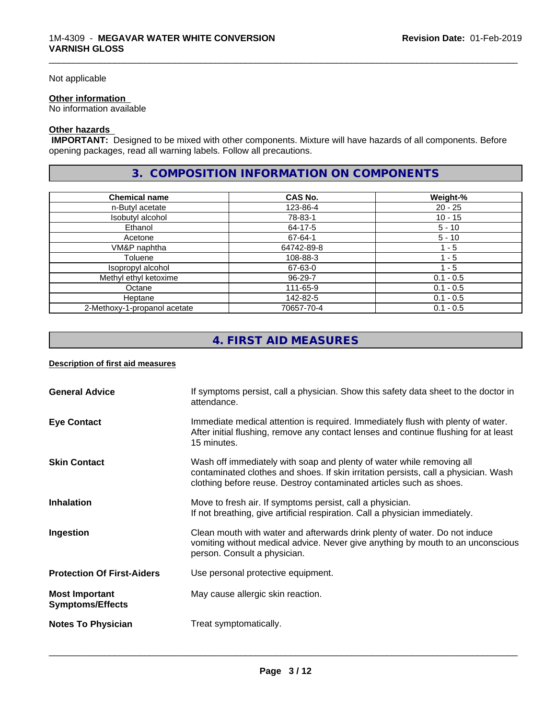#### Not applicable

#### **Other information**

No information available

#### **Other hazards**

 **IMPORTANT:** Designed to be mixed with other components. Mixture will have hazards of all components. Before opening packages, read all warning labels. Follow all precautions.

## **3. COMPOSITION INFORMATION ON COMPONENTS**

\_\_\_\_\_\_\_\_\_\_\_\_\_\_\_\_\_\_\_\_\_\_\_\_\_\_\_\_\_\_\_\_\_\_\_\_\_\_\_\_\_\_\_\_\_\_\_\_\_\_\_\_\_\_\_\_\_\_\_\_\_\_\_\_\_\_\_\_\_\_\_\_\_\_\_\_\_\_\_\_\_\_\_\_\_\_\_\_\_\_\_\_\_

| <b>Chemical name</b>         | CAS No.    | Weight-%    |
|------------------------------|------------|-------------|
| n-Butyl acetate              | 123-86-4   | 20 - 25     |
| Isobutyl alcohol             | 78-83-1    | $10 - 15$   |
| Ethanol                      | 64-17-5    | $5 - 10$    |
| Acetone                      | 67-64-1    | $5 - 10$    |
| VM&P naphtha                 | 64742-89-8 | - 5         |
| Toluene                      | 108-88-3   | $1 - 5$     |
| Isopropyl alcohol            | 67-63-0    | 1 - 5       |
| Methyl ethyl ketoxime        | 96-29-7    | $0.1 - 0.5$ |
| Octane                       | 111-65-9   | $0.1 - 0.5$ |
| Heptane                      | 142-82-5   | $0.1 - 0.5$ |
| 2-Methoxy-1-propanol acetate | 70657-70-4 | $0.1 - 0.5$ |

# **4. FIRST AID MEASURES**

#### **Description of first aid measures**

| <b>General Advice</b>                            | If symptoms persist, call a physician. Show this safety data sheet to the doctor in<br>attendance.                                                                                                                                  |
|--------------------------------------------------|-------------------------------------------------------------------------------------------------------------------------------------------------------------------------------------------------------------------------------------|
| <b>Eye Contact</b>                               | Immediate medical attention is required. Immediately flush with plenty of water.<br>After initial flushing, remove any contact lenses and continue flushing for at least<br>15 minutes.                                             |
| <b>Skin Contact</b>                              | Wash off immediately with soap and plenty of water while removing all<br>contaminated clothes and shoes. If skin irritation persists, call a physician. Wash<br>clothing before reuse. Destroy contaminated articles such as shoes. |
| <b>Inhalation</b>                                | Move to fresh air. If symptoms persist, call a physician.<br>If not breathing, give artificial respiration. Call a physician immediately.                                                                                           |
| Ingestion                                        | Clean mouth with water and afterwards drink plenty of water. Do not induce<br>vomiting without medical advice. Never give anything by mouth to an unconscious<br>person. Consult a physician.                                       |
| <b>Protection Of First-Aiders</b>                | Use personal protective equipment.                                                                                                                                                                                                  |
| <b>Most Important</b><br><b>Symptoms/Effects</b> | May cause allergic skin reaction.                                                                                                                                                                                                   |
| <b>Notes To Physician</b>                        | Treat symptomatically.                                                                                                                                                                                                              |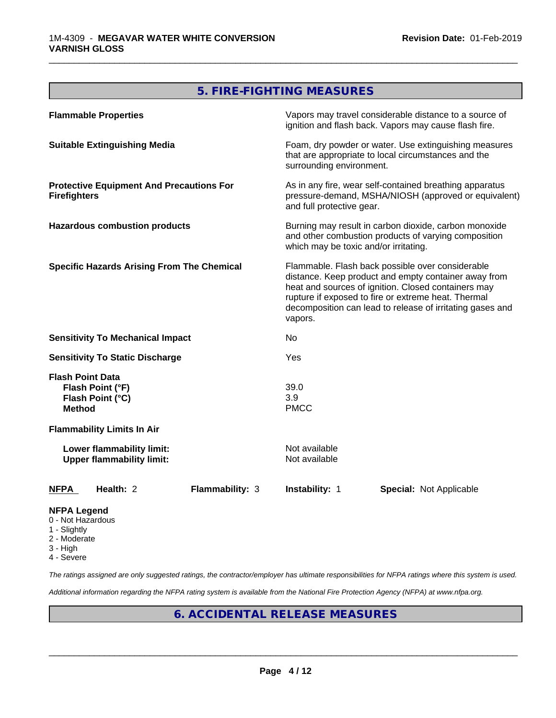# **5. FIRE-FIGHTING MEASURES**

\_\_\_\_\_\_\_\_\_\_\_\_\_\_\_\_\_\_\_\_\_\_\_\_\_\_\_\_\_\_\_\_\_\_\_\_\_\_\_\_\_\_\_\_\_\_\_\_\_\_\_\_\_\_\_\_\_\_\_\_\_\_\_\_\_\_\_\_\_\_\_\_\_\_\_\_\_\_\_\_\_\_\_\_\_\_\_\_\_\_\_\_\_

| <b>Flammable Properties</b>                                                      |                                                               |                                                                                                                                                                                                                                                                                                |                                       | Vapors may travel considerable distance to a source of<br>ignition and flash back. Vapors may cause flash fire.                              |  |
|----------------------------------------------------------------------------------|---------------------------------------------------------------|------------------------------------------------------------------------------------------------------------------------------------------------------------------------------------------------------------------------------------------------------------------------------------------------|---------------------------------------|----------------------------------------------------------------------------------------------------------------------------------------------|--|
| <b>Suitable Extinguishing Media</b>                                              |                                                               | Foam, dry powder or water. Use extinguishing measures<br>that are appropriate to local circumstances and the<br>surrounding environment.                                                                                                                                                       |                                       |                                                                                                                                              |  |
| <b>Protective Equipment And Precautions For</b><br><b>Firefighters</b>           |                                                               |                                                                                                                                                                                                                                                                                                |                                       | As in any fire, wear self-contained breathing apparatus<br>pressure-demand, MSHA/NIOSH (approved or equivalent)<br>and full protective gear. |  |
|                                                                                  | <b>Hazardous combustion products</b>                          |                                                                                                                                                                                                                                                                                                | which may be toxic and/or irritating. | Burning may result in carbon dioxide, carbon monoxide<br>and other combustion products of varying composition                                |  |
| <b>Specific Hazards Arising From The Chemical</b>                                |                                                               | Flammable. Flash back possible over considerable<br>distance. Keep product and empty container away from<br>heat and sources of ignition. Closed containers may<br>rupture if exposed to fire or extreme heat. Thermal<br>decomposition can lead to release of irritating gases and<br>vapors. |                                       |                                                                                                                                              |  |
|                                                                                  | <b>Sensitivity To Mechanical Impact</b>                       |                                                                                                                                                                                                                                                                                                | No                                    |                                                                                                                                              |  |
| <b>Sensitivity To Static Discharge</b>                                           |                                                               |                                                                                                                                                                                                                                                                                                | Yes                                   |                                                                                                                                              |  |
| <b>Flash Point Data</b><br>Flash Point (°F)<br>Flash Point (°C)<br><b>Method</b> |                                                               |                                                                                                                                                                                                                                                                                                | 39.0<br>3.9<br><b>PMCC</b>            |                                                                                                                                              |  |
| <b>Flammability Limits In Air</b>                                                |                                                               |                                                                                                                                                                                                                                                                                                |                                       |                                                                                                                                              |  |
|                                                                                  | Lower flammability limit:<br><b>Upper flammability limit:</b> |                                                                                                                                                                                                                                                                                                | Not available<br>Not available        |                                                                                                                                              |  |
| <b>NFPA</b>                                                                      | Health: 2                                                     | <b>Flammability: 3</b>                                                                                                                                                                                                                                                                         | Instability: 1                        | <b>Special: Not Applicable</b>                                                                                                               |  |
| <b>NFPA Legend</b>                                                               |                                                               |                                                                                                                                                                                                                                                                                                |                                       |                                                                                                                                              |  |

- 0 Not Hazardous
- 1 Slightly
- 2 Moderate
- 3 High
- 4 Severe

*The ratings assigned are only suggested ratings, the contractor/employer has ultimate responsibilities for NFPA ratings where this system is used.*

*Additional information regarding the NFPA rating system is available from the National Fire Protection Agency (NFPA) at www.nfpa.org.*

# **6. ACCIDENTAL RELEASE MEASURES**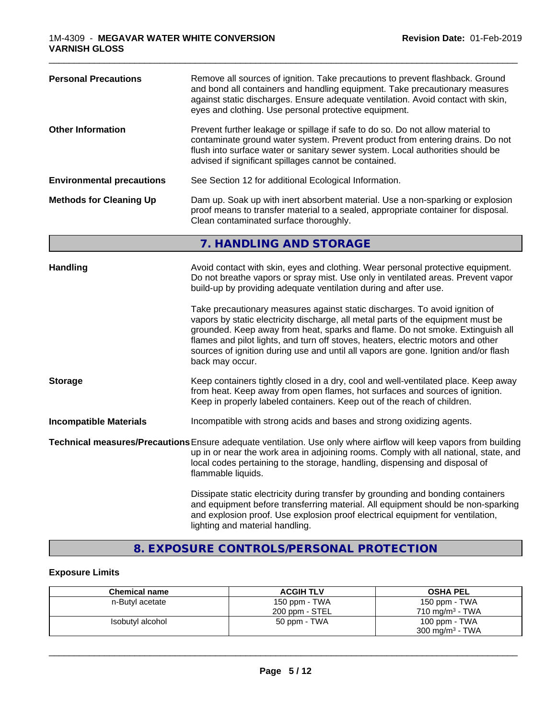| <b>Personal Precautions</b>                                                                                                                                                                                                                     | Remove all sources of ignition. Take precautions to prevent flashback. Ground<br>and bond all containers and handling equipment. Take precautionary measures<br>against static discharges. Ensure adequate ventilation. Avoid contact with skin,<br>eyes and clothing. Use personal protective equipment.                                                                                                                                                                                                                                                                                                                                                              |
|-------------------------------------------------------------------------------------------------------------------------------------------------------------------------------------------------------------------------------------------------|------------------------------------------------------------------------------------------------------------------------------------------------------------------------------------------------------------------------------------------------------------------------------------------------------------------------------------------------------------------------------------------------------------------------------------------------------------------------------------------------------------------------------------------------------------------------------------------------------------------------------------------------------------------------|
| <b>Other Information</b>                                                                                                                                                                                                                        | Prevent further leakage or spillage if safe to do so. Do not allow material to<br>contaminate ground water system. Prevent product from entering drains. Do not<br>flush into surface water or sanitary sewer system. Local authorities should be<br>advised if significant spillages cannot be contained.                                                                                                                                                                                                                                                                                                                                                             |
| <b>Environmental precautions</b>                                                                                                                                                                                                                | See Section 12 for additional Ecological Information.                                                                                                                                                                                                                                                                                                                                                                                                                                                                                                                                                                                                                  |
| Dam up. Soak up with inert absorbent material. Use a non-sparking or explosion<br><b>Methods for Cleaning Up</b><br>proof means to transfer material to a sealed, appropriate container for disposal.<br>Clean contaminated surface thoroughly. |                                                                                                                                                                                                                                                                                                                                                                                                                                                                                                                                                                                                                                                                        |
|                                                                                                                                                                                                                                                 | 7. HANDLING AND STORAGE                                                                                                                                                                                                                                                                                                                                                                                                                                                                                                                                                                                                                                                |
| <b>Handling</b>                                                                                                                                                                                                                                 | Avoid contact with skin, eyes and clothing. Wear personal protective equipment.<br>Do not breathe vapors or spray mist. Use only in ventilated areas. Prevent vapor<br>build-up by providing adequate ventilation during and after use.<br>Take precautionary measures against static discharges. To avoid ignition of<br>vapors by static electricity discharge, all metal parts of the equipment must be<br>grounded. Keep away from heat, sparks and flame. Do not smoke. Extinguish all<br>flames and pilot lights, and turn off stoves, heaters, electric motors and other<br>sources of ignition during use and until all vapors are gone. Ignition and/or flash |
| <b>Storage</b>                                                                                                                                                                                                                                  | back may occur.<br>Keep containers tightly closed in a dry, cool and well-ventilated place. Keep away<br>from heat. Keep away from open flames, hot surfaces and sources of ignition.<br>Keep in properly labeled containers. Keep out of the reach of children.                                                                                                                                                                                                                                                                                                                                                                                                       |
| <b>Incompatible Materials</b>                                                                                                                                                                                                                   | Incompatible with strong acids and bases and strong oxidizing agents.                                                                                                                                                                                                                                                                                                                                                                                                                                                                                                                                                                                                  |
|                                                                                                                                                                                                                                                 | Technical measures/Precautions Ensure adequate ventilation. Use only where airflow will keep vapors from building<br>up in or near the work area in adjoining rooms. Comply with all national, state, and<br>local codes pertaining to the storage, handling, dispensing and disposal of<br>flammable liquids.                                                                                                                                                                                                                                                                                                                                                         |
|                                                                                                                                                                                                                                                 | Dissipate static electricity during transfer by grounding and bonding containers<br>and equipment before transferring material. All equipment should be non-sparking<br>and explosion proof. Use explosion proof electrical equipment for ventilation,<br>lighting and material handling.                                                                                                                                                                                                                                                                                                                                                                              |

\_\_\_\_\_\_\_\_\_\_\_\_\_\_\_\_\_\_\_\_\_\_\_\_\_\_\_\_\_\_\_\_\_\_\_\_\_\_\_\_\_\_\_\_\_\_\_\_\_\_\_\_\_\_\_\_\_\_\_\_\_\_\_\_\_\_\_\_\_\_\_\_\_\_\_\_\_\_\_\_\_\_\_\_\_\_\_\_\_\_\_\_\_

# **8. EXPOSURE CONTROLS/PERSONAL PROTECTION**

## **Exposure Limits**

| <b>Chemical name</b> | <b>ACGIH TLV</b> | <b>OSHA PEL</b>            |
|----------------------|------------------|----------------------------|
| n-Butyl acetate      | 150 ppm - TWA    | 150 ppm - TWA              |
|                      | 200 ppm - STEL   | $710 \text{ ma/m}^3$ - TWA |
| Isobutyl alcohol     | 50 ppm - TWA     | 100 ppm - TWA              |
|                      |                  | $300 \text{ mg/m}^3$ - TWA |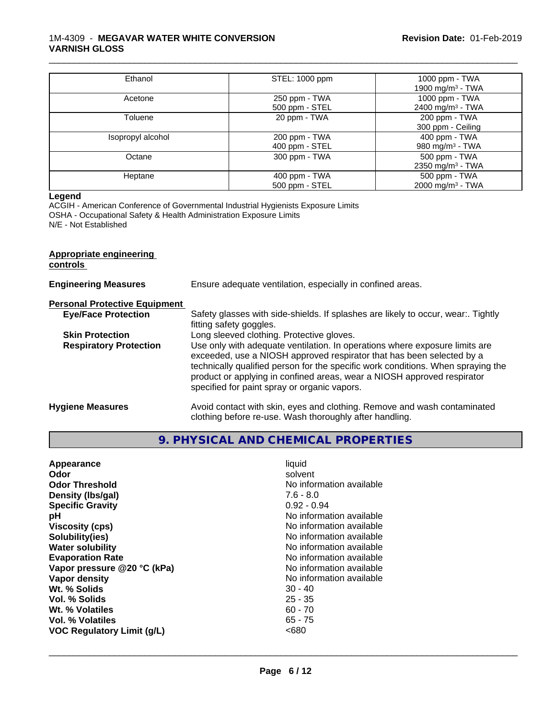#### 1M-4309 - **MEGAVAR WATER WHITE CONVERSION VARNISH GLOSS**

| Ethanol           | STEL: 1000 ppm                  | 1000 ppm - TWA<br>1900 mg/m <sup>3</sup> - TWA |
|-------------------|---------------------------------|------------------------------------------------|
| Acetone           | 250 ppm - TWA<br>500 ppm - STEL | 1000 ppm - TWA<br>2400 mg/m <sup>3</sup> - TWA |
| Toluene           | 20 ppm - TWA                    | 200 ppm - TWA<br>300 ppm - Ceiling             |
| Isopropyl alcohol | 200 ppm - TWA<br>400 ppm - STEL | 400 ppm - TWA<br>980 mg/m <sup>3</sup> - TWA   |
| Octane            | 300 ppm - TWA                   | 500 ppm - TWA<br>2350 mg/m <sup>3</sup> - TWA  |
| Heptane           | 400 ppm - TWA<br>500 ppm - STEL | 500 ppm - TWA<br>2000 mg/m <sup>3</sup> - TWA  |

\_\_\_\_\_\_\_\_\_\_\_\_\_\_\_\_\_\_\_\_\_\_\_\_\_\_\_\_\_\_\_\_\_\_\_\_\_\_\_\_\_\_\_\_\_\_\_\_\_\_\_\_\_\_\_\_\_\_\_\_\_\_\_\_\_\_\_\_\_\_\_\_\_\_\_\_\_\_\_\_\_\_\_\_\_\_\_\_\_\_\_\_\_

#### **Legend**

ACGIH - American Conference of Governmental Industrial Hygienists Exposure Limits OSHA - Occupational Safety & Health Administration Exposure Limits N/E - Not Established

# **Appropriate engineering controls Engineering Measures** Ensure adequate ventilation, especially in confined areas. **Personal Protective Equipment**<br> **Eye/Face Protection** Safety glasses with side-shields. If splashes are likely to occur, wear:. Tightly fitting safety goggles. **Skin Protection** Long sleeved clothing. Protective gloves. **Respiratory Protection** Use only with adequate ventilation. In operations where exposure limits are exceeded, use a NIOSH approved respirator that has been selected by a technically qualified person for the specific work conditions. When spraying the product or applying in confined areas, wear a NIOSH approved respirator specified for paint spray or organic vapors. **Hygiene Measures** Avoid contact with skin, eyes and clothing. Remove and wash contaminated clothing before re-use. Wash thoroughly after handling.

### **9. PHYSICAL AND CHEMICAL PROPERTIES**

| Appearance                        | liquid                   |
|-----------------------------------|--------------------------|
| Odor                              | solvent                  |
| <b>Odor Threshold</b>             | No information available |
| Density (Ibs/gal)                 | $7.6 - 8.0$              |
| <b>Specific Gravity</b>           | $0.92 - 0.94$            |
| рH                                | No information available |
| <b>Viscosity (cps)</b>            | No information available |
| Solubility(ies)                   | No information available |
| <b>Water solubility</b>           | No information available |
| <b>Evaporation Rate</b>           | No information available |
| Vapor pressure @20 °C (kPa)       | No information available |
| Vapor density                     | No information available |
| Wt. % Solids                      | $30 - 40$                |
| Vol. % Solids                     | $25 - 35$                |
| Wt. % Volatiles                   | $60 - 70$                |
| Vol. % Volatiles                  | $65 - 75$                |
| <b>VOC Regulatory Limit (g/L)</b> | <680                     |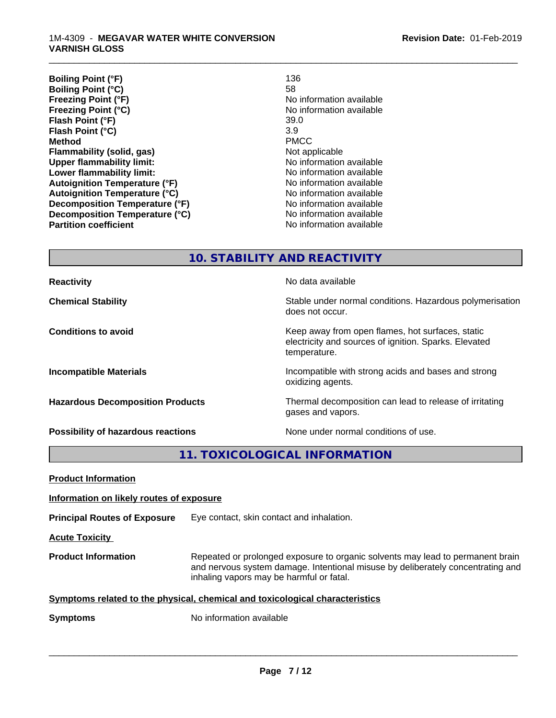| <b>Boiling Point (°F)</b><br>136     |                          |
|--------------------------------------|--------------------------|
| <b>Boiling Point (°C)</b><br>58      |                          |
| Freezing Point (°F)                  | No information available |
| <b>Freezing Point (°C)</b>           | No information available |
| Flash Point (°F)                     | 39.0                     |
| 3.9<br>Flash Point (°C)              |                          |
| <b>Method</b>                        | <b>PMCC</b>              |
| Flammability (solid, gas)            | Not applicable           |
| <b>Upper flammability limit:</b>     | No information available |
| Lower flammability limit:            | No information available |
| <b>Autoignition Temperature (°F)</b> | No information available |
| <b>Autoignition Temperature (°C)</b> | No information available |
| Decomposition Temperature (°F)       | No information available |
| Decomposition Temperature (°C)       | No information available |
| <b>Partition coefficient</b>         | No information available |

\_\_\_\_\_\_\_\_\_\_\_\_\_\_\_\_\_\_\_\_\_\_\_\_\_\_\_\_\_\_\_\_\_\_\_\_\_\_\_\_\_\_\_\_\_\_\_\_\_\_\_\_\_\_\_\_\_\_\_\_\_\_\_\_\_\_\_\_\_\_\_\_\_\_\_\_\_\_\_\_\_\_\_\_\_\_\_\_\_\_\_\_\_

**10. STABILITY AND REACTIVITY**

**Reactivity No data available No data available Chemical Stability Stability** Stable under normal conditions. Hazardous polymerisation does not occur. **Conditions to avoid Conditions to avoid Conditions keep** away from open flames, hot surfaces, static electricity and sources of ignition. Sparks. Elevated temperature. **Incompatible Materials Incompatible with strong acids and bases and strong** oxidizing agents. **Hazardous Decomposition Products** Thermal decomposition can lead to release of irritating gases and vapors. **Possibility of hazardous reactions** None under normal conditions of use.

**11. TOXICOLOGICAL INFORMATION**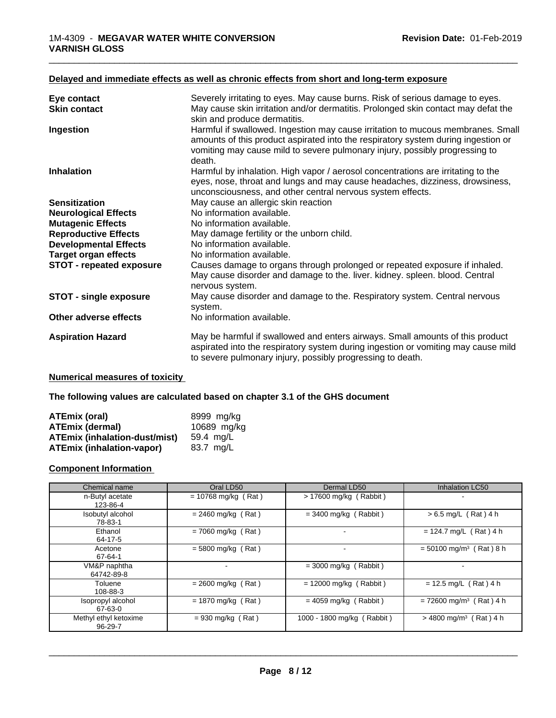#### **Delayed and immediate effects as well as chronic effects from short and long-term exposure**

| Eye contact                     | Severely irritating to eyes. May cause burns. Risk of serious damage to eyes.                                                                                                                                                                                 |
|---------------------------------|---------------------------------------------------------------------------------------------------------------------------------------------------------------------------------------------------------------------------------------------------------------|
| <b>Skin contact</b>             | May cause skin irritation and/or dermatitis. Prolonged skin contact may defat the<br>skin and produce dermatitis.                                                                                                                                             |
| Ingestion                       | Harmful if swallowed. Ingestion may cause irritation to mucous membranes. Small<br>amounts of this product aspirated into the respiratory system during ingestion or<br>vomiting may cause mild to severe pulmonary injury, possibly progressing to<br>death. |
| <b>Inhalation</b>               | Harmful by inhalation. High vapor / aerosol concentrations are irritating to the<br>eyes, nose, throat and lungs and may cause headaches, dizziness, drowsiness,<br>unconsciousness, and other central nervous system effects.                                |
| <b>Sensitization</b>            | May cause an allergic skin reaction                                                                                                                                                                                                                           |
| <b>Neurological Effects</b>     | No information available.                                                                                                                                                                                                                                     |
| <b>Mutagenic Effects</b>        | No information available.                                                                                                                                                                                                                                     |
| <b>Reproductive Effects</b>     | May damage fertility or the unborn child.                                                                                                                                                                                                                     |
| <b>Developmental Effects</b>    | No information available.                                                                                                                                                                                                                                     |
| <b>Target organ effects</b>     | No information available.                                                                                                                                                                                                                                     |
| <b>STOT - repeated exposure</b> | Causes damage to organs through prolonged or repeated exposure if inhaled.<br>May cause disorder and damage to the. liver. kidney. spleen. blood. Central<br>nervous system.                                                                                  |
| <b>STOT - single exposure</b>   | May cause disorder and damage to the. Respiratory system. Central nervous<br>system.                                                                                                                                                                          |
| Other adverse effects           | No information available.                                                                                                                                                                                                                                     |
| <b>Aspiration Hazard</b>        | May be harmful if swallowed and enters airways. Small amounts of this product<br>aspirated into the respiratory system during ingestion or vomiting may cause mild<br>to severe pulmonary injury, possibly progressing to death.                              |

\_\_\_\_\_\_\_\_\_\_\_\_\_\_\_\_\_\_\_\_\_\_\_\_\_\_\_\_\_\_\_\_\_\_\_\_\_\_\_\_\_\_\_\_\_\_\_\_\_\_\_\_\_\_\_\_\_\_\_\_\_\_\_\_\_\_\_\_\_\_\_\_\_\_\_\_\_\_\_\_\_\_\_\_\_\_\_\_\_\_\_\_\_

#### **Numerical measures of toxicity**

#### **The following values are calculated based on chapter 3.1 of the GHS document**

| ATEmix (oral)                        | 8999 mg/ka  |
|--------------------------------------|-------------|
| <b>ATEmix (dermal)</b>               | 10689 mg/kg |
| <b>ATEmix (inhalation-dust/mist)</b> | 59.4 ma/L   |
| <b>ATEmix (inhalation-vapor)</b>     | 83.7 mg/L   |

#### **Component Information**

| Chemical name                    | Oral LD50             | Dermal LD50                | <b>Inhalation LC50</b>                |
|----------------------------------|-----------------------|----------------------------|---------------------------------------|
| n-Butyl acetate<br>123-86-4      | $= 10768$ mg/kg (Rat) | $> 17600$ mg/kg (Rabbit)   |                                       |
| Isobutyl alcohol<br>78-83-1      | $= 2460$ mg/kg (Rat)  | $=$ 3400 mg/kg (Rabbit)    | $> 6.5$ mg/L (Rat) 4 h                |
| Ethanol<br>64-17-5               | $= 7060$ mg/kg (Rat)  |                            | $= 124.7$ mg/L (Rat) 4 h              |
| Acetone<br>67-64-1               | $=$ 5800 mg/kg (Rat)  |                            | $= 50100$ mg/m <sup>3</sup> (Rat) 8 h |
| VM&P naphtha<br>64742-89-8       |                       | $=$ 3000 mg/kg (Rabbit)    |                                       |
| Toluene<br>108-88-3              | $= 2600$ mg/kg (Rat)  | $= 12000$ mg/kg (Rabbit)   | $= 12.5$ mg/L (Rat) 4 h               |
| Isopropyl alcohol<br>67-63-0     | $= 1870$ mg/kg (Rat)  | $= 4059$ mg/kg (Rabbit)    | $= 72600$ mg/m <sup>3</sup> (Rat) 4 h |
| Methyl ethyl ketoxime<br>96-29-7 | $= 930$ mg/kg (Rat)   | 1000 - 1800 mg/kg (Rabbit) | $>$ 4800 mg/m <sup>3</sup> (Rat) 4 h  |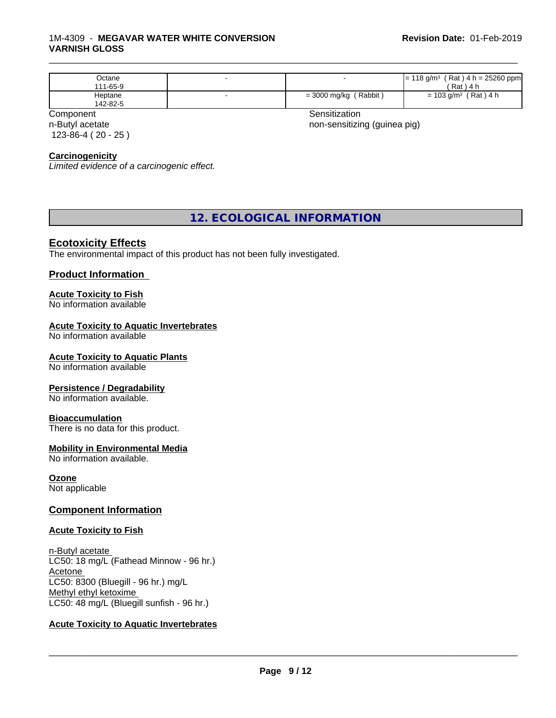#### 1M-4309 - **MEGAVAR WATER WHITE CONVERSION VARNISH GLOSS**

| Octane<br>111-65-9  |                                    | $(Rat)$ 4 h = 25260 ppm<br>⊧18 g/m <sup>3</sup><br>'≕<br>$'$ Rat)<br>) 4 h                   |
|---------------------|------------------------------------|----------------------------------------------------------------------------------------------|
| Heptane<br>142-82-5 | (Rabbit<br>$= 3000$ mg/kg $\prime$ | $'$ Rat) 4 h<br>$\stackrel{\scriptscriptstyle >}{\scriptscriptstyle \sim} 103$ g/m $^3$<br>= |

n-Butyl acetate 123-86-4 ( 20 - 25 )

Component **Sensitization** 

\_\_\_\_\_\_\_\_\_\_\_\_\_\_\_\_\_\_\_\_\_\_\_\_\_\_\_\_\_\_\_\_\_\_\_\_\_\_\_\_\_\_\_\_\_\_\_\_\_\_\_\_\_\_\_\_\_\_\_\_\_\_\_\_\_\_\_\_\_\_\_\_\_\_\_\_\_\_\_\_\_\_\_\_\_\_\_\_\_\_\_\_\_

non-sensitizing (guinea pig)

#### **Carcinogenicity**

*Limited evidence of a carcinogenic effect.*

## **12. ECOLOGICAL INFORMATION**

#### **Ecotoxicity Effects**

The environmental impact of this product has not been fully investigated.

#### **Product Information**

#### **Acute Toxicity to Fish**

No information available

#### **Acute Toxicity to Aquatic Invertebrates**

No information available

#### **Acute Toxicity to Aquatic Plants**

No information available

#### **Persistence / Degradability**

No information available.

#### **Bioaccumulation**

There is no data for this product.

#### **Mobility in Environmental Media**

No information available.

**Ozone** Not applicable

#### **Component Information**

#### **Acute Toxicity to Fish**

n-Butyl acetate LC50: 18 mg/L (Fathead Minnow - 96 hr.) Acetone LC50: 8300 (Bluegill - 96 hr.) mg/L Methyl ethyl ketoxime LC50: 48 mg/L (Bluegill sunfish - 96 hr.)

#### **Acute Toxicity to Aquatic Invertebrates**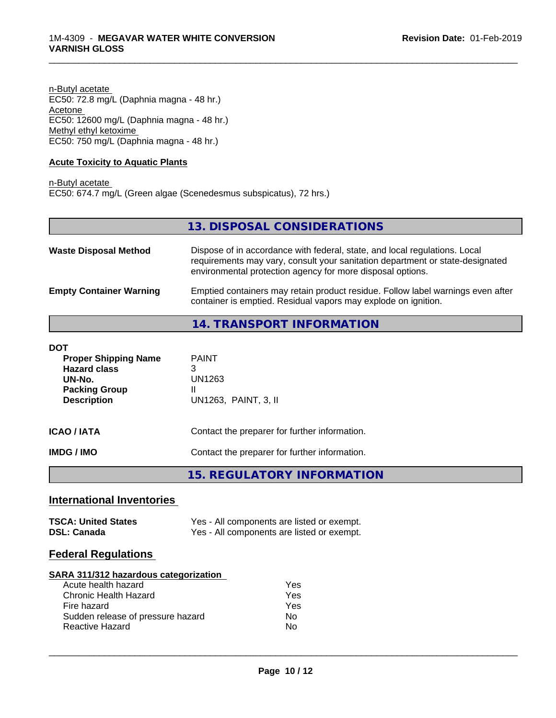n-Butyl acetate EC50: 72.8 mg/L (Daphnia magna - 48 hr.) Acetone EC50: 12600 mg/L (Daphnia magna - 48 hr.) Methyl ethyl ketoxime EC50: 750 mg/L (Daphnia magna - 48 hr.)

#### **Acute Toxicity to Aquatic Plants**

n-Butyl acetate EC50: 674.7 mg/L (Green algae (Scenedesmus subspicatus), 72 hrs.)

|                                | 13. DISPOSAL CONSIDERATIONS                                                                                                                                                                                               |
|--------------------------------|---------------------------------------------------------------------------------------------------------------------------------------------------------------------------------------------------------------------------|
| <b>Waste Disposal Method</b>   | Dispose of in accordance with federal, state, and local regulations. Local<br>requirements may vary, consult your sanitation department or state-designated<br>environmental protection agency for more disposal options. |
| <b>Empty Container Warning</b> | Emptied containers may retain product residue. Follow label warnings even after<br>container is emptied. Residual vapors may explode on ignition.                                                                         |
|                                | <b>14. TRANSPORT INFORMATION</b>                                                                                                                                                                                          |

\_\_\_\_\_\_\_\_\_\_\_\_\_\_\_\_\_\_\_\_\_\_\_\_\_\_\_\_\_\_\_\_\_\_\_\_\_\_\_\_\_\_\_\_\_\_\_\_\_\_\_\_\_\_\_\_\_\_\_\_\_\_\_\_\_\_\_\_\_\_\_\_\_\_\_\_\_\_\_\_\_\_\_\_\_\_\_\_\_\_\_\_\_

| DOT<br><b>Proper Shipping Name</b><br><b>Hazard class</b><br>UN-No.<br><b>Packing Group</b><br><b>Description</b> | <b>PAINT</b><br>3<br>UN1263<br>Ш<br>UN1263, PAINT, 3, II |
|-------------------------------------------------------------------------------------------------------------------|----------------------------------------------------------|
| <b>ICAO/IATA</b>                                                                                                  | Contact the preparer for further information.            |
| <b>IMDG/IMO</b>                                                                                                   | Contact the preparer for further information.            |

**15. REGULATORY INFORMATION**

# **International Inventories**

| <b>TSCA: United States</b> | Yes - All components are listed or exempt. |
|----------------------------|--------------------------------------------|
| <b>DSL: Canada</b>         | Yes - All components are listed or exempt. |

# **Federal Regulations**

#### **SARA 311/312 hazardous categorization**

| Acute health hazard               | Yes |
|-----------------------------------|-----|
| Chronic Health Hazard             | Yes |
| Fire hazard                       | Yes |
| Sudden release of pressure hazard | Nο  |
| <b>Reactive Hazard</b>            | N٥  |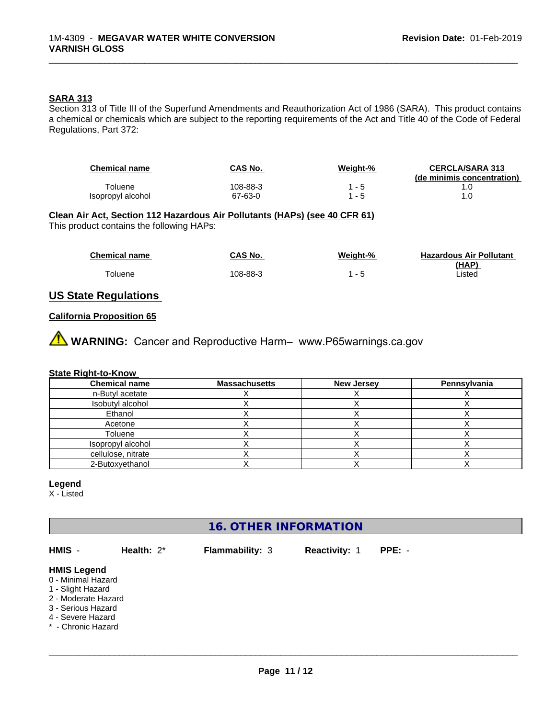#### **SARA 313**

Section 313 of Title III of the Superfund Amendments and Reauthorization Act of 1986 (SARA). This product contains a chemical or chemicals which are subject to the reporting requirements of the Act and Title 40 of the Code of Federal Regulations, Part 372:

| <b>Chemical name</b> | CAS No.  | <u>Weight-%</u> | <b>CERCLA/SARA 313</b><br>(de minimis concentration) |
|----------------------|----------|-----------------|------------------------------------------------------|
| Гoluene              | 108-88-3 | - 5             |                                                      |
| Isopropyl alcohol    | 67-63-0  | - 5             |                                                      |

\_\_\_\_\_\_\_\_\_\_\_\_\_\_\_\_\_\_\_\_\_\_\_\_\_\_\_\_\_\_\_\_\_\_\_\_\_\_\_\_\_\_\_\_\_\_\_\_\_\_\_\_\_\_\_\_\_\_\_\_\_\_\_\_\_\_\_\_\_\_\_\_\_\_\_\_\_\_\_\_\_\_\_\_\_\_\_\_\_\_\_\_\_

# **Clean Air Act,Section 112 Hazardous Air Pollutants (HAPs) (see 40 CFR 61)**

This product contains the following HAPs:

| <b>Chemical name</b> | CAS No.  | Weight-%                 | <b>Hazardous Air Pollutant</b> |
|----------------------|----------|--------------------------|--------------------------------|
|                      |          |                          | (HAP)                          |
| oluene <sup>-</sup>  | 108-88-3 | $\overline{\phantom{a}}$ | Listed                         |

### **US State Regulations**

#### **California Proposition 65**

**A** WARNING: Cancer and Reproductive Harm– www.P65warnings.ca.gov

#### **State Right-to-Know**

| <b>Chemical name</b> | <b>Massachusetts</b> | <b>New Jersey</b> | Pennsylvania |
|----------------------|----------------------|-------------------|--------------|
| n-Butyl acetate      |                      |                   |              |
| Isobutyl alcohol     |                      |                   |              |
| Ethanol              |                      |                   |              |
| Acetone              |                      |                   |              |
| Toluene              |                      |                   |              |
| Isopropyl alcohol    |                      |                   |              |
| cellulose, nitrate   |                      |                   |              |
| 2-Butoxyethanol      |                      |                   |              |

#### **Legend**

X - Listed

# **16. OTHER INFORMATION**

**HMIS** - **Health:** 2\* **Flammability:** 3 **Reactivity:** 1 **PPE:** - **HMIS Legend** 0 - Minimal Hazard

- 1 Slight Hazard
- 2 Moderate Hazard
- 3 Serious Hazard
- 4 Severe Hazard
- \* Chronic Hazard